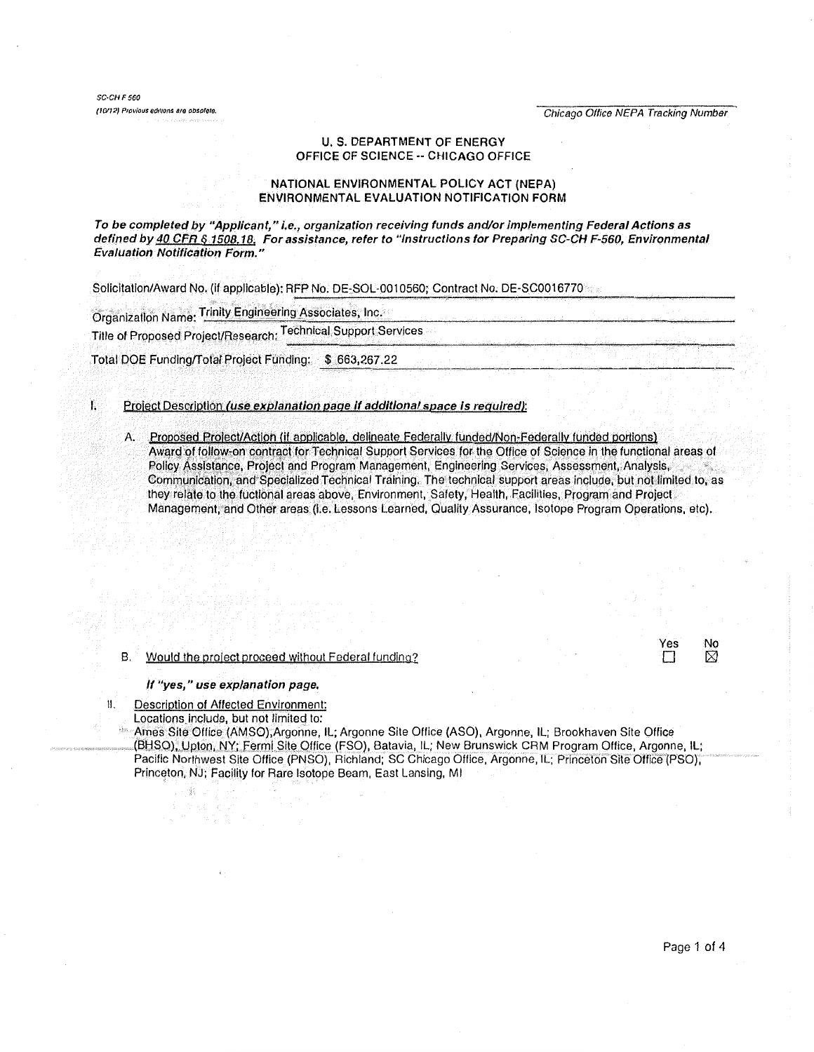Chicago Office NEPA Tracking Number

 $SCCHF560$ (10/12) Provious editions are obsolete.

# **U. S. DEPARTMENT OF ENERGY** OFFICE OF SCIENCE -- CHICAGO OFFICE

## NATIONAL ENVIRONMENTAL POLICY ACT (NEPA) ENVIRONMENTAL EVALUATION NOTIFICATION FORM

To be completed by "Applicant," i.e., organization receiving funds and/or implementing Federal Actions as defined by 40 CFR § 1508.18. For assistance, refer to "Instructions for Preparing SC-CH F-560, Environmental **Evaluation Notification Form.'** 

Solicitation/Award No. (if applicable): RFP No. DE-SOL-0010560; Contract No. DE-SC0016770

Organization Name: Trinity Engineering Associates, Inc.

Title of Proposed Project/Research: Technical Support Services

Total DOE Funding/Total Project Funding: \$ 663,267.22

#### Ť. Project Description (use explanation page if additional space is regulred):

A. Proposed Project/Action (if applicable, delineate Federally funded/Non-Federally funded portions) Award of follow-on contract for Technical Support Services for the Office of Science in the functional areas of Policy Assistance, Project and Program Management, Engineering Services, Assessment, Analysis, Communication, and Specialized Technical Training. The technical support areas include, but not limited to, as they relate to the fuctional areas above, Environment, Safety, Health, Facilities, Program and Project Management, and Other areas (i.e. Lessons Learned, Quality Assurance, Isotope Program Operations, etc).

# B. Would the project proceed without Federal funding?

#### If "yes," use explanation page,

Description of Affected Environment: Ħ.

Locations include, but not limited to:

ģ.

Ames Site Office (AMSO), Argonne, IL; Argonne Site Office (ASO), Argonne, IL; Brookhaven Site Office (BHSO), Upton, NY; Fermi Site Office (FSO), Batavia, IL; New Brunswick CRM Program Office, Argonne, IL; Pacific Northwest Site Office (PNSO), Richland; SC Chicago Office, Argonne, IL; Princeton Site Office (PSO), Princeton, NJ; Facility for Rare Isotope Beam, East Lansing, MI

Yes

П

No

⊠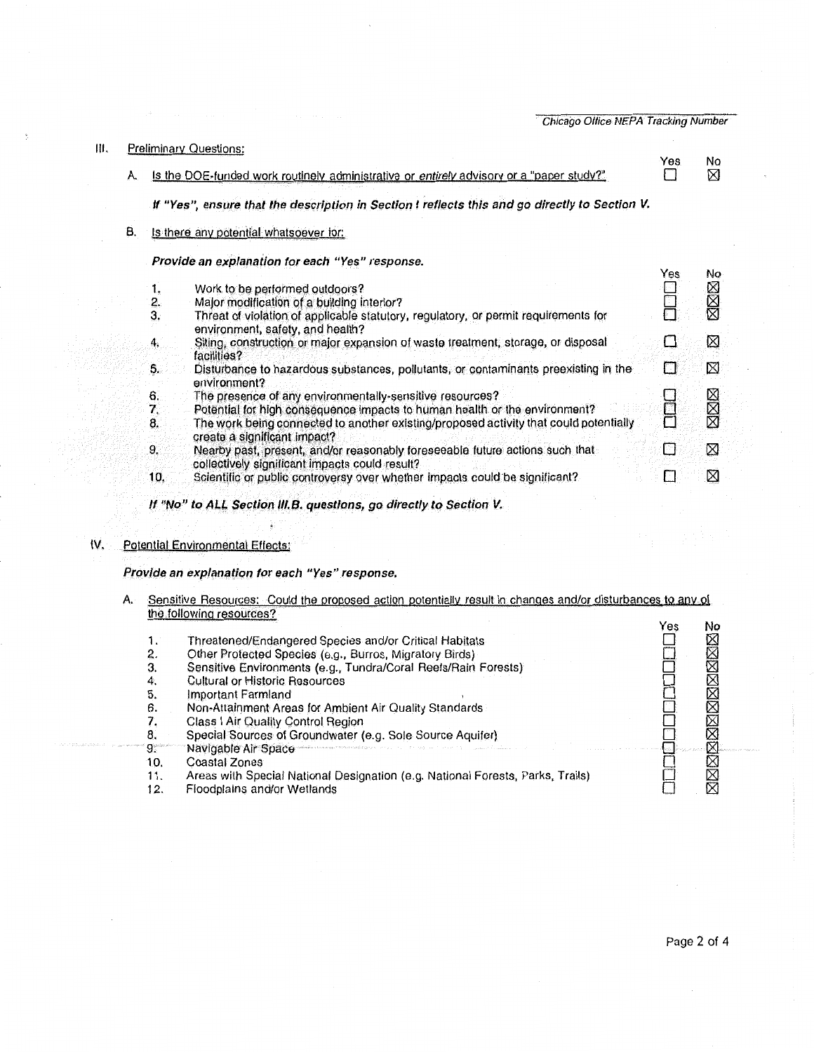Ill. Preliminary Questions: A. Is the DOE-funded work routinely administrative or entirely advisory or a "paper study?" *If* **"Yes", ensure that the description in Section** I **reflects this and go directly to Section V.**  B. Is there any potential whatsoever for: **Provide an explanation for each "Yes" response.**  1. Work to be pertormeg outdoors? 2. Major modification of a building interior?<br>3. Threat of violation of applicable statutory Threat of violation of applicable statutory, regulatory, or permit requirements for environment, safety, and health? 4. Siting, construction or major expansion of waste treatment, storage, or disposal facilities? s. Disturbance to hazardous substances, pollutants, or contaminants preexisting in the environment? 6. The presence of any environmentally-sensitive resources?<br>7. Potential for high consequence impacts to human health or 7. Potential for high consequence impacts to human health or the environment?<br>8. The work being connected to another existing/proposed activity that could pot The work being connected to another existing/proposed activity that could potentially create a significant impact? 9. Nearby past, present, and/or reasonably foreseeable future actions such that collectively significant impacts could result? 10, Scientific or public controversy over whether impacts could be significant? Yes No<br>N  $\boxtimes$ Yes No  $\frac{\square}{\square}$  $\Box$ 9]  $\Box$   $\boxtimes$  $\Box$   $\boxtimes$  $\square$  18]  $\Box$  28 H 日<br>1 図  $\Box$  2  $\Box \qquad \boxtimes$ 

*If* **"No" to Al.l. Section 111.B. questions, go directly to Section V.** 

# IV. Potential Environmental Effects:

### **Provide an explanation for each "Yes" response.**

A. Sensitive Resources: . Could the proposed action potentially result in changes and/or disturbances to any of the following resources?

|             |                                                                                | res | N٥          |
|-------------|--------------------------------------------------------------------------------|-----|-------------|
| 1.          | Threatened/Endangered Species and/or Critical Habitats                         |     | XXX         |
| 2.          | Other Protected Species (e.g., Burros, Migratory Birds)                        |     |             |
| 3.          | Sensitive Environments (e.g., Tundra/Coral Reefs/Rain Forests)                 |     |             |
| 4.          | Cultural or Historic Resources                                                 |     |             |
| 5.          | Important Farmland                                                             |     |             |
| 6.          | Non-Attainment Areas for Ambient Air Quality Standards                         |     | $\boxtimes$ |
|             | Class   Air Quality Control Region                                             |     | XX          |
| 8.          | Special Sources of Groundwater (e.g. Sole Source Aquifer)                      |     |             |
| $^\circ$ 9. | Navigable Air Space Commission and the second commission of                    |     |             |
| 10.         | Coastal Zones                                                                  |     |             |
| 11.         | Areas with Special National Designation (e.g. National Forests, Parks, Trails) |     |             |
| 12.         | Floodplains and/or Wetlands                                                    |     |             |
|             |                                                                                |     |             |

Chicago Office NEPA Tracking Number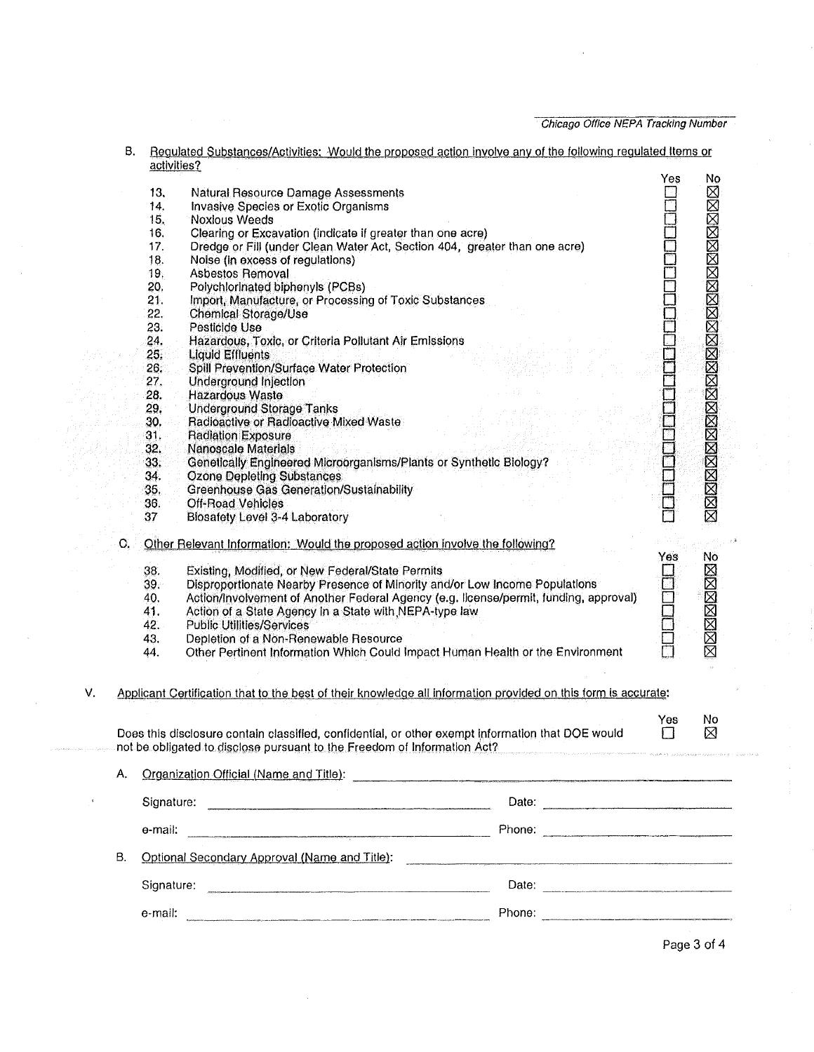Chicago Office NEPA Tracking Number

|    |    | activities?              |                                                                                                                                                                                                                                                                                   |     |                                        |  |
|----|----|--------------------------|-----------------------------------------------------------------------------------------------------------------------------------------------------------------------------------------------------------------------------------------------------------------------------------|-----|----------------------------------------|--|
|    |    | 13.                      | Natural Resource Damage Assessments                                                                                                                                                                                                                                               | Yes | No                                     |  |
|    |    | 14.                      | Invasive Species or Exotic Organisms                                                                                                                                                                                                                                              |     | <b>NNARRANA MARANA NA SERANG NA NA</b> |  |
|    |    | 15.                      | <b>Noxious Weeds</b>                                                                                                                                                                                                                                                              |     |                                        |  |
|    |    | 16.                      | Clearing or Excavation (indicate if greater than one acre)                                                                                                                                                                                                                        |     |                                        |  |
|    |    | 17.                      | Dredge or Fill (under Clean Water Act, Section 404, greater than one acre)                                                                                                                                                                                                        |     |                                        |  |
|    |    | 18.                      | Noise (in excess of regulations)                                                                                                                                                                                                                                                  |     |                                        |  |
|    |    | 19.                      | <b>Asbestos Removal</b>                                                                                                                                                                                                                                                           |     |                                        |  |
|    |    | 20,                      | Polychlorinated biphenyls (PCBs)                                                                                                                                                                                                                                                  |     |                                        |  |
|    |    | 21.                      | Import, Manufacture, or Processing of Toxic Substances                                                                                                                                                                                                                            |     |                                        |  |
|    |    | 22.                      | <b>Chemical Storage/Use</b>                                                                                                                                                                                                                                                       |     |                                        |  |
|    |    | 23.                      | Pesticide Use                                                                                                                                                                                                                                                                     |     |                                        |  |
|    |    | 24.                      | Hazardous, Toxic, or Criteria Pollutant Air Emissions                                                                                                                                                                                                                             |     |                                        |  |
|    |    | 25.                      | <b>Liquid Effluents</b>                                                                                                                                                                                                                                                           |     |                                        |  |
|    |    | 26.                      | Spill Prevention/Surface Water Protection                                                                                                                                                                                                                                         |     |                                        |  |
|    |    | 27.                      | Underground Injection                                                                                                                                                                                                                                                             |     |                                        |  |
|    |    | 28.                      | Hazardous Waste                                                                                                                                                                                                                                                                   |     |                                        |  |
|    |    | 29.                      | <b>Underground Storage Tanks</b>                                                                                                                                                                                                                                                  |     |                                        |  |
|    |    | 30.                      | Radioactive or Radioactive Mixed Waste                                                                                                                                                                                                                                            |     |                                        |  |
|    |    | 31.                      | <b>Radiation Exposure</b>                                                                                                                                                                                                                                                         |     |                                        |  |
|    |    | 32.                      | <b>Nanoscale Materials</b>                                                                                                                                                                                                                                                        |     |                                        |  |
|    |    | 33.                      | Genetically Engineered Microorganisms/Plants or Synthetic Biology?                                                                                                                                                                                                                |     |                                        |  |
|    |    | 34.                      | <b>Ozone Depleting Substances</b>                                                                                                                                                                                                                                                 |     |                                        |  |
|    |    | 35.                      | <b>Greenhouse Gas Generation/Sustainability</b>                                                                                                                                                                                                                                   |     |                                        |  |
|    |    | 36.                      | Off-Road Vehicles                                                                                                                                                                                                                                                                 |     |                                        |  |
|    |    | 37                       | <b>Biosafety Level 3-4 Laboratory</b>                                                                                                                                                                                                                                             |     |                                        |  |
|    | O. |                          | Other Relevant Information: Would the proposed action involve the following?                                                                                                                                                                                                      | Yes | No                                     |  |
|    |    | 38.<br>39.<br>40.<br>41. | Existing, Modified, or New Federal/State Permits<br>Disproportionate Nearby Presence of Minority and/or Low Income Populations<br>Action/Involvement of Another Federal Agency (e.g. Ilcense/permit, funding, approval)<br>Action of a State Agency in a State with NEPA-type law |     | 区区区区区区                                 |  |
|    |    | 42.                      | <b>Public Utilities/Services</b>                                                                                                                                                                                                                                                  |     |                                        |  |
|    |    | 43.                      | Depletion of a Non-Renewable Resource                                                                                                                                                                                                                                             |     |                                        |  |
|    |    | 44.                      | Other Pertinent Information Which Could Impact Human Health or the Environment                                                                                                                                                                                                    |     |                                        |  |
|    |    |                          |                                                                                                                                                                                                                                                                                   |     |                                        |  |
| V. |    |                          | Applicant Certification that to the best of their knowledge all information provided on this form is accurate:                                                                                                                                                                    |     |                                        |  |
|    |    |                          |                                                                                                                                                                                                                                                                                   | Yes | No                                     |  |
|    |    |                          | Does this disclosure contain classified, confidential, or other exempt information that DOE would<br>not be obligated to disclose pursuant to the Freedom of Information Act?                                                                                                     | П   | ⊠                                      |  |
|    | А. |                          | Organization Official (Name and Title):<br>Subsequently and the contract of the contract of the contract of the contract of the contract of the contract of the contract of the contract of the contract of the contract of the                                                   |     |                                        |  |
|    |    |                          | Signature: <u>contract and the set of the set of the set of the set of the set of the set of the set of the set of the set of the set of the set of the set of the set of the set of the set of the set of the set of the set of</u><br>Date:                                     |     |                                        |  |
|    |    | e-mail:                  |                                                                                                                                                                                                                                                                                   |     |                                        |  |
|    |    |                          |                                                                                                                                                                                                                                                                                   |     |                                        |  |
|    | Β. |                          | Optional Secondary Approval (Name and Title): Charles Contract Contract Contract Contract Contract Contract Co                                                                                                                                                                    |     |                                        |  |
|    |    |                          |                                                                                                                                                                                                                                                                                   |     |                                        |  |
|    |    |                          |                                                                                                                                                                                                                                                                                   |     |                                        |  |
|    |    |                          |                                                                                                                                                                                                                                                                                   |     | Page 3 of 4                            |  |

B. Regulated Substances/Activities: Would the proposed action involve any of the following regulated Items or